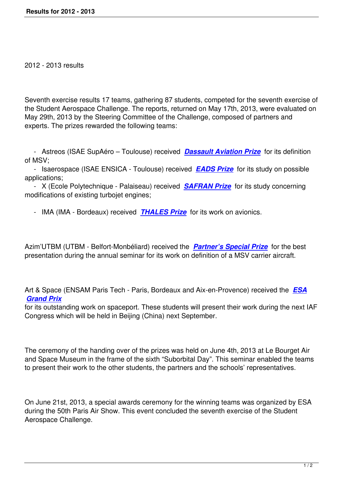Seventh exercise results 17 teams, gathering 87 students, competed for the seventh exercise of the Student Aerospace Challenge. The reports, returned on May 17th, 2013, were evaluated on May 29th, 2013 by the Steering Committee of the Challenge, composed of partners and experts. The prizes rewarded the following teams:

 - Astreos (ISAE SupAéro – Toulouse) received *Dassault Aviation Prize* for its definition of MSV;

 - Isaerospace (ISAE ENSICA - Toulouse) received *EADS Prize* for its study on possible applications;

 - X (Ecole Polytechnique - Palaiseau) received *SAFRAN Prize* for its study concerning modifications of existing turbojet engines;

- IMA (IMA - Bordeaux) received *THALES Prize* [for its work on](/popup/2012_2013/safran-2012-2013-prize.html) avionics.

Azim'UTBM (UTBM - Belfort-Monbéli[ard\) received the](/popup/2012_2013/thales-2012-2013-prize.html) *Partner's Special Prize* for the best presentation during the annual seminar for its work on definition of a MSV carrier aircraft.

Art & Space (ENSAM Paris Tech - Paris, Bordeaux and Aix-en-Provence) received the *ESA Grand Prix*

for its outstanding work on spaceport. These students will present their work during the next IAF Congress which will be held in Beijing (China) next September.

The ceremony of the handing over of the prizes was held on June 4th, 2013 at Le Bourget Air and Space Museum in the frame of the sixth "Suborbital Day". This seminar enabled the teams to present their work to the other students, the partners and the schools' representatives.

On June 21st, 2013, a special awards ceremony for the winning teams was organized by ESA during the 50th Paris Air Show. This event concluded the seventh exercise of the Student Aerospace Challenge.